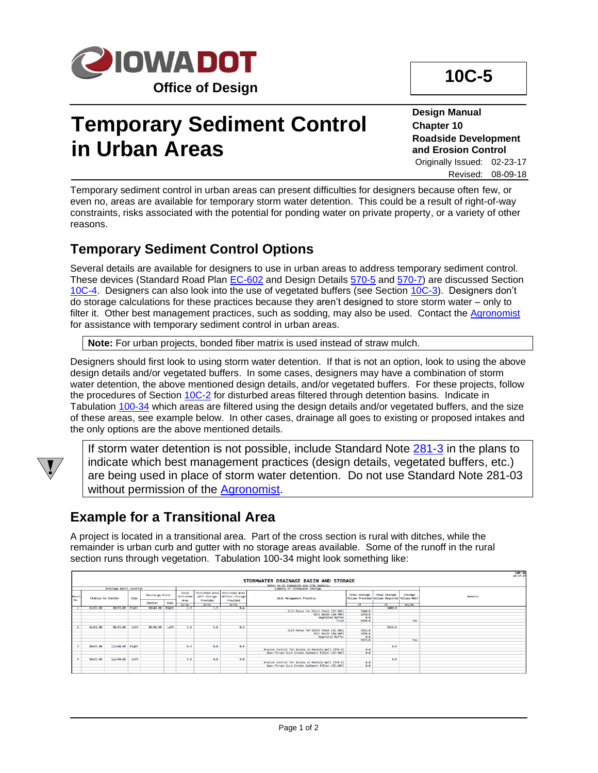

# **Temporary Sediment Control in Urban Areas**

**Design Manual Chapter 10 Roadside Development and Erosion Control** Originally Issued: 02-23-17 Revised: 08-09-18

Temporary sediment control in urban areas can present difficulties for designers because often few, or even no, areas are available for temporary storm water detention. This could be a result of right-of-way constraints, risks associated with the potential for ponding water on private property, or a variety of other reasons.

#### **Temporary Sediment Control Options**

Several details are available for designers to use in urban areas to address temporary sediment control. These devices (Standard Road Plan [EC-602](../SRP/IndividualStandards/ec602.pdf) and Design Details [570-5](../tnt/PDFsandWebFiles/IndividualPDFs/0570-05.pdf) an[d 570-7\)](../tnt/PDFsandWebFiles/IndividualPDFs/0570-07.pdf) are discussed Section [10C-4.](10C-04.pdf) Designers can also look into the use of vegetated buffers (see Section [10C-3\)](10C-03.pdf). Designers don't do storage calculations for these practices because they aren't designed to store storm water – only to filter it. Other best management practices, such as sodding, may also be used. Contact the [Agronomist](01B-02/Agronomist.pdf) for assistance with temporary sediment control in urban areas.

**Note:** For urban projects, bonded fiber matrix is used instead of straw mulch.

Designers should first look to using storm water detention. If that is not an option, look to using the above design details and/or vegetated buffers. In some cases, designers may have a combination of storm water detention, the above mentioned design details, and/or vegetated buffers. For these projects, follow the procedures of Sectio[n 10C-2](10C-02.pdf) for disturbed areas filtered through detention basins. Indicate in Tabulation [100-34](../tnt/PDFsandWebFiles/IndividualPDFs/0100-34.PDF) which areas are filtered using the design details and/or vegetated buffers, and the size of these areas, see example below. In other cases, drainage all goes to existing or proposed intakes and the only options are the above mentioned details.



If storm water detention is not possible, include Standard Note [281-3](../tnt/PDFsandWebFiles/IndividualPDFs/0281-03.pdf) in the plans to indicate which best management practices (design details, vegetated buffers, etc.) are being used in place of storm water detention. Do not use Standard Note 281-03 without permission of the **Agronomist**.

#### **Example for a Transitional Area**

A project is located in a transitional area. Part of the cross section is rural with ditches, while the remainder is urban curb and gutter with no storage areas available. Some of the runoff in the rural section runs through vegetation. Tabulation 100-34 might look something like:

|                         |                                         |                    |      |            |                        |               |              |                                                  |                                                    |                  |                                                                              |         | $100 - 34$<br>$10 - 17 - 17$ |
|-------------------------|-----------------------------------------|--------------------|------|------------|------------------------|---------------|--------------|--------------------------------------------------|----------------------------------------------------|------------------|------------------------------------------------------------------------------|---------|------------------------------|
|                         | STORMWATER DRAINAGE BASIN AND STORAGE   |                    |      |            |                        |               |              |                                                  |                                                    |                  |                                                                              |         |                              |
|                         | Refer to EC Standards and 570s Details. |                    |      |            |                        |               |              |                                                  |                                                    |                  |                                                                              |         |                              |
| Drainage Basin Location |                                         |                    |      |            |                        |               |              |                                                  | Summary of Stormwater Storage                      |                  |                                                                              |         |                              |
| Basin<br>No.            |                                         | Station to Station |      |            | <b>Discharge Point</b> |               | with Storage | Disturbed Area Disturbed Area<br>without Storage | <b>Best Management Practice</b>                    |                  | Total Storage   Total Storage<br>Volume Provided Volume Required Volume Met? | Storage | Remarks                      |
|                         |                                         |                    |      | Station    | Side                   | Area<br>Arres | Provided     | Provided                                         |                                                    | <b>CE</b>        | <b>CE</b>                                                                    |         |                              |
|                         | 61+52.00                                | 88+55.00 Right     |      | $88+49.00$ | Right                  | 1.9           | Acres<br>1.5 | Acres<br>0.4                                     |                                                    |                  | 5488.8                                                                       | Yes/No  |                              |
|                         |                                         |                    |      |            |                        |               |              |                                                  | Silt Fence for Ditch Check (EC-201)                | 3140.0           |                                                                              |         |                              |
|                         |                                         |                    |      |            |                        |               |              |                                                  | Silt Basin (EW-403)                                | 2350.0           |                                                                              |         |                              |
|                         |                                         |                    |      |            |                        |               |              |                                                  | Vegetated Buffer                                   | 0.0              |                                                                              |         |                              |
|                         |                                         |                    |      |            |                        |               |              |                                                  | Total                                              | 5490.0           |                                                                              | Yes     |                              |
|                         |                                         |                    |      |            |                        |               |              |                                                  |                                                    |                  |                                                                              |         |                              |
|                         | 61+52.00                                | 88+55.00           | Left | 88+41.00   | Left                   | 1.8           | 1.6          | 0.2                                              |                                                    |                  | 5652.0                                                                       |         |                              |
|                         |                                         |                    |      |            |                        |               |              |                                                  | Silt Fence for Ditch Check (EC-201)                | 3325.0<br>2358.8 |                                                                              |         |                              |
|                         |                                         |                    |      |            |                        |               |              |                                                  | Silt Basin (EW-403)<br>Vegetated Buffer            | e.e              |                                                                              |         |                              |
|                         |                                         |                    |      |            |                        |               |              |                                                  |                                                    | 5675.0           |                                                                              | Yes     |                              |
|                         |                                         |                    |      |            |                        |               |              |                                                  |                                                    |                  |                                                                              |         |                              |
|                         | 88+55.00                                | 122+84.00 Right    |      |            |                        | 0.9           | e.e.         | 0.9                                              |                                                    |                  | e.e                                                                          |         |                              |
|                         |                                         |                    |      |            |                        |               |              |                                                  | Erosion Control for Intake or Manhole Well (570-5) | e.e              |                                                                              |         |                              |
|                         |                                         |                    |      |            |                        |               |              |                                                  | Open-Throat Curb Intake Sediment Filter (EC-602)   | 0.0              |                                                                              |         |                              |
|                         |                                         |                    |      |            |                        |               |              |                                                  |                                                    |                  |                                                                              |         |                              |
|                         | 88+55.00                                | 122+84.00          | Left |            |                        | 9.8           | e.e          | 9.8                                              |                                                    |                  | e.e                                                                          |         |                              |
|                         |                                         |                    |      |            |                        |               |              |                                                  | Erosion Control for Intake or Manhole Well (570-5) | e.e              |                                                                              |         |                              |
|                         |                                         |                    |      |            |                        |               |              |                                                  | Open-Throat Curb Intake Sediment Filter (EC-602)   | 0.0              |                                                                              |         |                              |
|                         |                                         |                    |      |            |                        |               |              |                                                  |                                                    |                  |                                                                              |         |                              |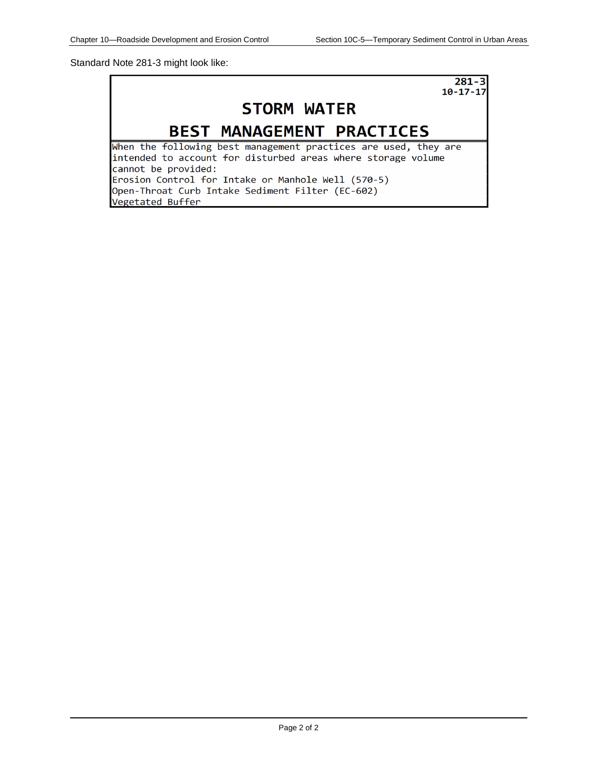Standard Note 281-3 might look like:

 $281 - 3$  $10 - 17 - 17$ 

### **STORM WATER**

### BEST MANAGEMENT PRACTICES

When the following best management practices are used, they are intended to account for disturbed areas where storage volume cannot be provided: Erosion Control for Intake or Manhole Well (570-5) Open-Throat Curb Intake Sediment Filter (EC-602) Vegetated Buffer